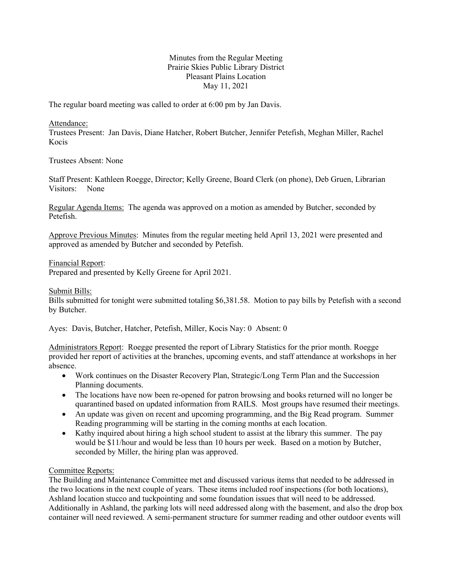## Minutes from the Regular Meeting Prairie Skies Public Library District Pleasant Plains Location May 11, 2021

The regular board meeting was called to order at 6:00 pm by Jan Davis.

Attendance:

Trustees Present: Jan Davis, Diane Hatcher, Robert Butcher, Jennifer Petefish, Meghan Miller, Rachel Kocis

Trustees Absent: None

Staff Present: Kathleen Roegge, Director; Kelly Greene, Board Clerk (on phone), Deb Gruen, Librarian Visitors: None

Regular Agenda Items: The agenda was approved on a motion as amended by Butcher, seconded by Petefish.

Approve Previous Minutes: Minutes from the regular meeting held April 13, 2021 were presented and approved as amended by Butcher and seconded by Petefish.

Financial Report:

Prepared and presented by Kelly Greene for April 2021.

Submit Bills:

Bills submitted for tonight were submitted totaling \$6,381.58. Motion to pay bills by Petefish with a second by Butcher.

Ayes: Davis, Butcher, Hatcher, Petefish, Miller, Kocis Nay: 0 Absent: 0

Administrators Report: Roegge presented the report of Library Statistics for the prior month. Roegge provided her report of activities at the branches, upcoming events, and staff attendance at workshops in her absence.

- Work continues on the Disaster Recovery Plan, Strategic/Long Term Plan and the Succession Planning documents.
- The locations have now been re-opened for patron browsing and books returned will no longer be quarantined based on updated information from RAILS. Most groups have resumed their meetings.
- An update was given on recent and upcoming programming, and the Big Read program. Summer Reading programming will be starting in the coming months at each location.
- Kathy inquired about hiring a high school student to assist at the library this summer. The pay would be \$11/hour and would be less than 10 hours per week. Based on a motion by Butcher, seconded by Miller, the hiring plan was approved.

### Committee Reports:

The Building and Maintenance Committee met and discussed various items that needed to be addressed in the two locations in the next couple of years. These items included roof inspections (for both locations), Ashland location stucco and tuckpointing and some foundation issues that will need to be addressed. Additionally in Ashland, the parking lots will need addressed along with the basement, and also the drop box container will need reviewed. A semi-permanent structure for summer reading and other outdoor events will